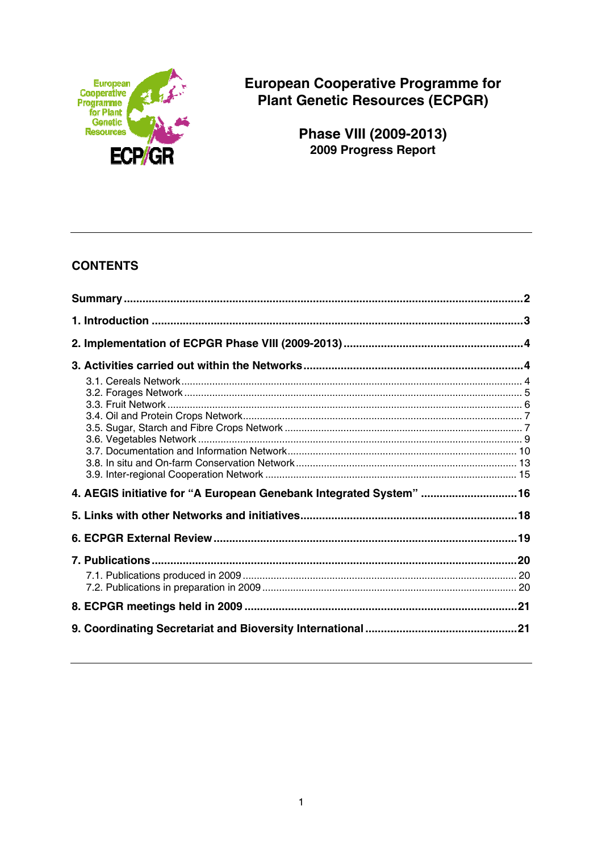

**European Cooperative Programme for** Plant Genetic Resources (ECPGR)

Phase VIII (2009-2013)<br>2009 Progress Report

# **CONTENTS**

| 4. AEGIS initiative for "A European Genebank Integrated System"  16 |  |
|---------------------------------------------------------------------|--|
|                                                                     |  |
|                                                                     |  |
|                                                                     |  |
|                                                                     |  |
|                                                                     |  |
|                                                                     |  |
|                                                                     |  |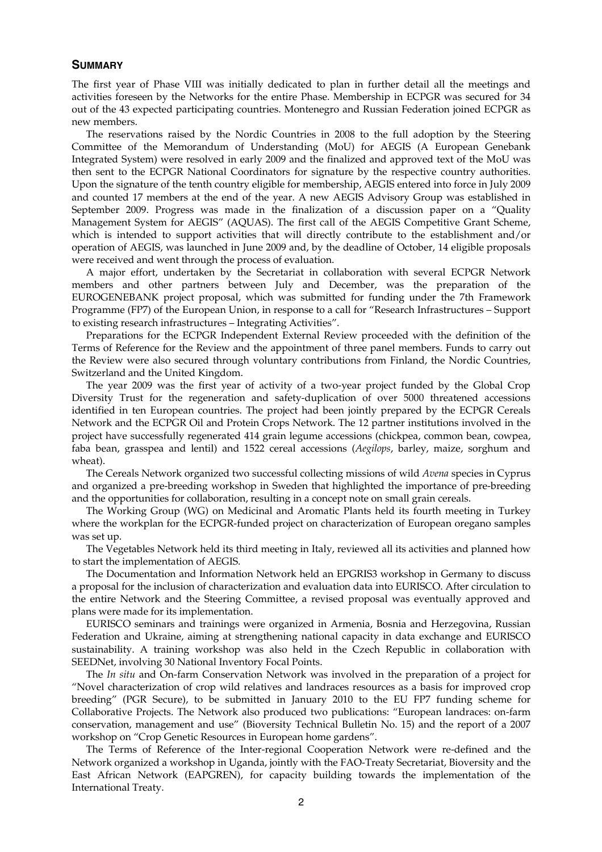#### **SUMMARY**

The first year of Phase VIII was initially dedicated to plan in further detail all the meetings and activities foreseen by the Networks for the entire Phase. Membership in ECPGR was secured for 34 out of the 43 expected participating countries. Montenegro and Russian Federation joined ECPGR as new members.

 The reservations raised by the Nordic Countries in 2008 to the full adoption by the Steering Committee of the Memorandum of Understanding (MoU) for AEGIS (A European Genebank Integrated System) were resolved in early 2009 and the finalized and approved text of the MoU was then sent to the ECPGR National Coordinators for signature by the respective country authorities. Upon the signature of the tenth country eligible for membership, AEGIS entered into force in July 2009 and counted 17 members at the end of the year. A new AEGIS Advisory Group was established in September 2009. Progress was made in the finalization of a discussion paper on a "Quality Management System for AEGIS" (AQUAS). The first call of the AEGIS Competitive Grant Scheme, which is intended to support activities that will directly contribute to the establishment and/or operation of AEGIS, was launched in June 2009 and, by the deadline of October, 14 eligible proposals were received and went through the process of evaluation.

 A major effort, undertaken by the Secretariat in collaboration with several ECPGR Network members and other partners between July and December, was the preparation of the EUROGENEBANK project proposal, which was submitted for funding under the 7th Framework Programme (FP7) of the European Union, in response to a call for "Research Infrastructures – Support to existing research infrastructures – Integrating Activities".

 Preparations for the ECPGR Independent External Review proceeded with the definition of the Terms of Reference for the Review and the appointment of three panel members. Funds to carry out the Review were also secured through voluntary contributions from Finland, the Nordic Countries, Switzerland and the United Kingdom.

 The year 2009 was the first year of activity of a two-year project funded by the Global Crop Diversity Trust for the regeneration and safety-duplication of over 5000 threatened accessions identified in ten European countries. The project had been jointly prepared by the ECPGR Cereals Network and the ECPGR Oil and Protein Crops Network. The 12 partner institutions involved in the project have successfully regenerated 414 grain legume accessions (chickpea, common bean, cowpea, faba bean, grasspea and lentil) and 1522 cereal accessions (*Aegilops*, barley, maize, sorghum and wheat).

 The Cereals Network organized two successful collecting missions of wild *Avena* species in Cyprus and organized a pre-breeding workshop in Sweden that highlighted the importance of pre-breeding and the opportunities for collaboration, resulting in a concept note on small grain cereals.

 The Working Group (WG) on Medicinal and Aromatic Plants held its fourth meeting in Turkey where the workplan for the ECPGR-funded project on characterization of European oregano samples was set up.

 The Vegetables Network held its third meeting in Italy, reviewed all its activities and planned how to start the implementation of AEGIS.

 The Documentation and Information Network held an EPGRIS3 workshop in Germany to discuss a proposal for the inclusion of characterization and evaluation data into EURISCO. After circulation to the entire Network and the Steering Committee, a revised proposal was eventually approved and plans were made for its implementation.

 EURISCO seminars and trainings were organized in Armenia, Bosnia and Herzegovina, Russian Federation and Ukraine, aiming at strengthening national capacity in data exchange and EURISCO sustainability. A training workshop was also held in the Czech Republic in collaboration with SEEDNet, involving 30 National Inventory Focal Points.

 The *In situ* and On-farm Conservation Network was involved in the preparation of a project for "Novel characterization of crop wild relatives and landraces resources as a basis for improved crop breeding" (PGR Secure), to be submitted in January 2010 to the EU FP7 funding scheme for Collaborative Projects. The Network also produced two publications: "European landraces: on-farm conservation, management and use" (Bioversity Technical Bulletin No. 15) and the report of a 2007 workshop on "Crop Genetic Resources in European home gardens".

 The Terms of Reference of the Inter-regional Cooperation Network were re-defined and the Network organized a workshop in Uganda, jointly with the FAO-Treaty Secretariat, Bioversity and the East African Network (EAPGREN), for capacity building towards the implementation of the International Treaty.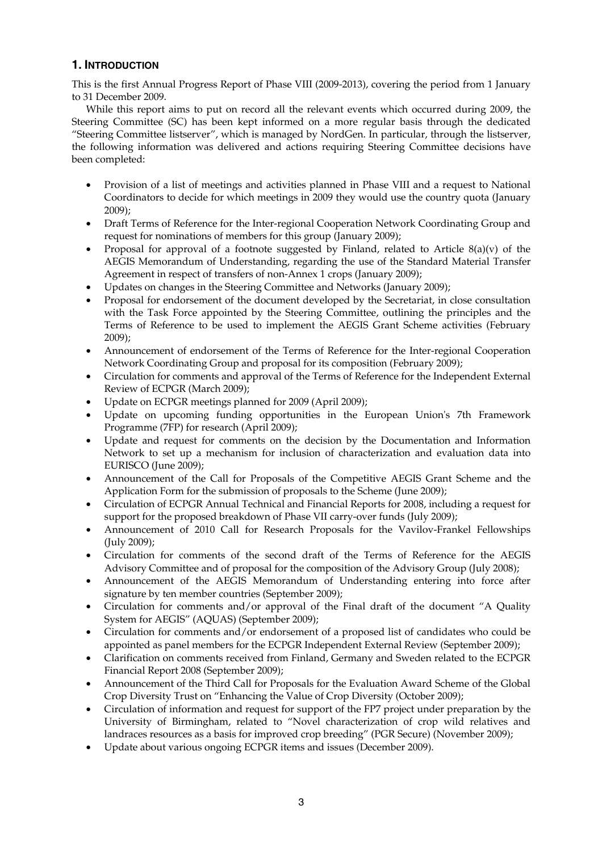# **1. INTRODUCTION**

This is the first Annual Progress Report of Phase VIII (2009-2013), covering the period from 1 January to 31 December 2009.

 While this report aims to put on record all the relevant events which occurred during 2009, the Steering Committee (SC) has been kept informed on a more regular basis through the dedicated "Steering Committee listserver", which is managed by NordGen. In particular, through the listserver, the following information was delivered and actions requiring Steering Committee decisions have been completed:

- Provision of a list of meetings and activities planned in Phase VIII and a request to National Coordinators to decide for which meetings in 2009 they would use the country quota (January 2009);
- Draft Terms of Reference for the Inter-regional Cooperation Network Coordinating Group and request for nominations of members for this group (January 2009);
- Proposal for approval of a footnote suggested by Finland, related to Article  $8(a)(v)$  of the AEGIS Memorandum of Understanding, regarding the use of the Standard Material Transfer Agreement in respect of transfers of non-Annex 1 crops (January 2009);
- Updates on changes in the Steering Committee and Networks (January 2009);
- Proposal for endorsement of the document developed by the Secretariat, in close consultation with the Task Force appointed by the Steering Committee, outlining the principles and the Terms of Reference to be used to implement the AEGIS Grant Scheme activities (February 2009);
- Announcement of endorsement of the Terms of Reference for the Inter-regional Cooperation Network Coordinating Group and proposal for its composition (February 2009);
- Circulation for comments and approval of the Terms of Reference for the Independent External Review of ECPGR (March 2009);
- Update on ECPGR meetings planned for 2009 (April 2009);
- Update on upcoming funding opportunities in the European Union's 7th Framework Programme (7FP) for research (April 2009);
- Update and request for comments on the decision by the Documentation and Information Network to set up a mechanism for inclusion of characterization and evaluation data into EURISCO (June 2009);
- Announcement of the Call for Proposals of the Competitive AEGIS Grant Scheme and the Application Form for the submission of proposals to the Scheme (June 2009);
- Circulation of ECPGR Annual Technical and Financial Reports for 2008, including a request for support for the proposed breakdown of Phase VII carry-over funds (July 2009);
- Announcement of 2010 Call for Research Proposals for the Vavilov-Frankel Fellowships (July 2009);
- Circulation for comments of the second draft of the Terms of Reference for the AEGIS Advisory Committee and of proposal for the composition of the Advisory Group (July 2008);
- Announcement of the AEGIS Memorandum of Understanding entering into force after signature by ten member countries (September 2009);
- Circulation for comments and/or approval of the Final draft of the document "A Quality System for AEGIS" (AQUAS) (September 2009);
- Circulation for comments and/or endorsement of a proposed list of candidates who could be appointed as panel members for the ECPGR Independent External Review (September 2009);
- Clarification on comments received from Finland, Germany and Sweden related to the ECPGR Financial Report 2008 (September 2009);
- Announcement of the Third Call for Proposals for the Evaluation Award Scheme of the Global Crop Diversity Trust on "Enhancing the Value of Crop Diversity (October 2009);
- Circulation of information and request for support of the FP7 project under preparation by the University of Birmingham, related to "Novel characterization of crop wild relatives and landraces resources as a basis for improved crop breeding" (PGR Secure) (November 2009);
- Update about various ongoing ECPGR items and issues (December 2009).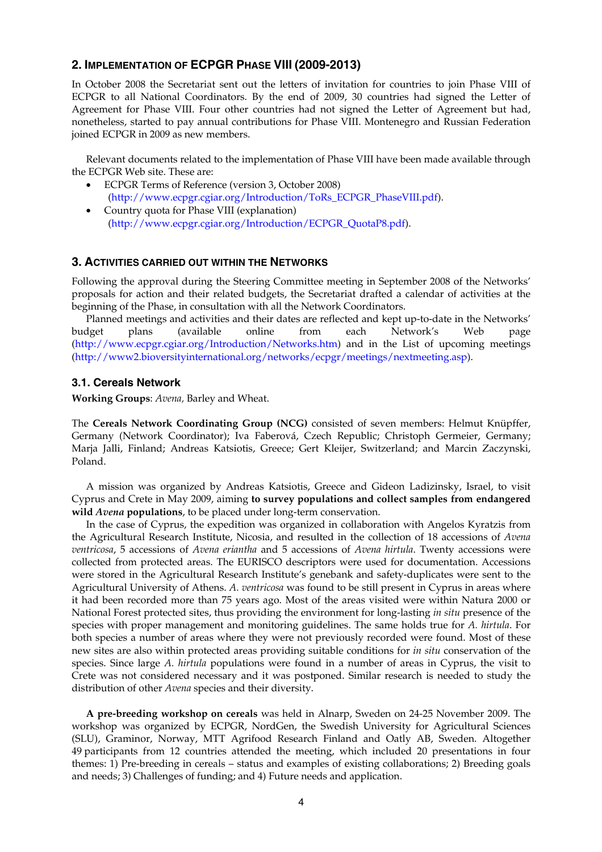## **2. IMPLEMENTATION OF ECPGR PHASE VIII (2009-2013)**

In October 2008 the Secretariat sent out the letters of invitation for countries to join Phase VIII of ECPGR to all National Coordinators. By the end of 2009, 30 countries had signed the Letter of Agreement for Phase VIII. Four other countries had not signed the Letter of Agreement but had, nonetheless, started to pay annual contributions for Phase VIII. Montenegro and Russian Federation joined ECPGR in 2009 as new members.

 Relevant documents related to the implementation of Phase VIII have been made available through the ECPGR Web site. These are:

- ECPGR Terms of Reference (version 3, October 2008) (http://www.ecpgr.cgiar.org/Introduction/ToRs\_ECPGR\_PhaseVIII.pdf).
- Country quota for Phase VIII (explanation) (http://www.ecpgr.cgiar.org/Introduction/ECPGR\_QuotaP8.pdf).

## **3. ACTIVITIES CARRIED OUT WITHIN THE NETWORKS**

Following the approval during the Steering Committee meeting in September 2008 of the Networks' proposals for action and their related budgets, the Secretariat drafted a calendar of activities at the beginning of the Phase, in consultation with all the Network Coordinators.

 Planned meetings and activities and their dates are reflected and kept up-to-date in the Networks' budget plans (available online from each Network's Web page (http://www.ecpgr.cgiar.org/Introduction/Networks.htm) and in the List of upcoming meetings (http://www2.bioversityinternational.org/networks/ecpgr/meetings/nextmeeting.asp).

## **3.1. Cereals Network**

**Working Groups**: *Avena,* Barley and Wheat.

The **Cereals Network Coordinating Group (NCG)** consisted of seven members: Helmut Knüpffer, Germany (Network Coordinator); Iva Faberová, Czech Republic; Christoph Germeier, Germany; Marja Jalli, Finland; Andreas Katsiotis, Greece; Gert Kleijer, Switzerland; and Marcin Zaczynski, Poland.

A mission was organized by Andreas Katsiotis, Greece and Gideon Ladizinsky, Israel, to visit Cyprus and Crete in May 2009, aiming **to survey populations and collect samples from endangered wild** *Avena* **populations**, to be placed under long-term conservation.

In the case of Cyprus, the expedition was organized in collaboration with Angelos Kyratzis from the Agricultural Research Institute, Nicosia, and resulted in the collection of 18 accessions of *Avena ventricosa*, 5 accessions of *Avena eriantha* and 5 accessions of *Avena hirtula*. Twenty accessions were collected from protected areas. The EURISCO descriptors were used for documentation. Accessions were stored in the Agricultural Research Institute's genebank and safety-duplicates were sent to the Agricultural University of Athens. *A. ventricosa* was found to be still present in Cyprus in areas where it had been recorded more than 75 years ago. Most of the areas visited were within Natura 2000 or National Forest protected sites, thus providing the environment for long-lasting *in situ* presence of the species with proper management and monitoring guidelines. The same holds true for *A. hirtula*. For both species a number of areas where they were not previously recorded were found. Most of these new sites are also within protected areas providing suitable conditions for *in situ* conservation of the species. Since large *A. hirtula* populations were found in a number of areas in Cyprus, the visit to Crete was not considered necessary and it was postponed. Similar research is needed to study the distribution of other *Avena* species and their diversity.

 **A pre-breeding workshop on cereals** was held in Alnarp, Sweden on 24-25 November 2009. The workshop was organized by ECPGR, NordGen, the Swedish University for Agricultural Sciences (SLU), Graminor, Norway, MTT Agrifood Research Finland and Oatly AB, Sweden. Altogether 49 participants from 12 countries attended the meeting, which included 20 presentations in four themes: 1) Pre-breeding in cereals – status and examples of existing collaborations; 2) Breeding goals and needs; 3) Challenges of funding; and 4) Future needs and application.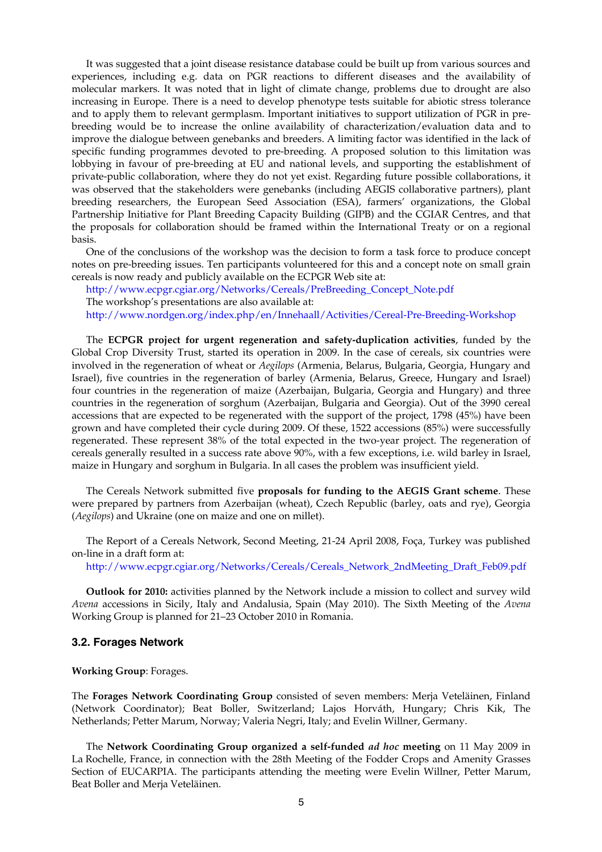It was suggested that a joint disease resistance database could be built up from various sources and experiences, including e.g. data on PGR reactions to different diseases and the availability of molecular markers. It was noted that in light of climate change, problems due to drought are also increasing in Europe. There is a need to develop phenotype tests suitable for abiotic stress tolerance and to apply them to relevant germplasm. Important initiatives to support utilization of PGR in prebreeding would be to increase the online availability of characterization/evaluation data and to improve the dialogue between genebanks and breeders. A limiting factor was identified in the lack of specific funding programmes devoted to pre-breeding. A proposed solution to this limitation was lobbying in favour of pre-breeding at EU and national levels, and supporting the establishment of private-public collaboration, where they do not yet exist. Regarding future possible collaborations, it was observed that the stakeholders were genebanks (including AEGIS collaborative partners), plant breeding researchers, the European Seed Association (ESA), farmers' organizations, the Global Partnership Initiative for Plant Breeding Capacity Building (GIPB) and the CGIAR Centres, and that the proposals for collaboration should be framed within the International Treaty or on a regional basis.

 One of the conclusions of the workshop was the decision to form a task force to produce concept notes on pre-breeding issues. Ten participants volunteered for this and a concept note on small grain cereals is now ready and publicly available on the ECPGR Web site at:

http://www.ecpgr.cgiar.org/Networks/Cereals/PreBreeding\_Concept\_Note.pdf

The workshop's presentations are also available at:

http://www.nordgen.org/index.php/en/Innehaall/Activities/Cereal-Pre-Breeding-Workshop

The **ECPGR project for urgent regeneration and safety-duplication activities**, funded by the Global Crop Diversity Trust, started its operation in 2009. In the case of cereals, six countries were involved in the regeneration of wheat or *Aegilops* (Armenia, Belarus, Bulgaria, Georgia, Hungary and Israel), five countries in the regeneration of barley (Armenia, Belarus, Greece, Hungary and Israel) four countries in the regeneration of maize (Azerbaijan, Bulgaria, Georgia and Hungary) and three countries in the regeneration of sorghum (Azerbaijan, Bulgaria and Georgia). Out of the 3990 cereal accessions that are expected to be regenerated with the support of the project, 1798 (45%) have been grown and have completed their cycle during 2009. Of these, 1522 accessions (85%) were successfully regenerated. These represent 38% of the total expected in the two-year project. The regeneration of cereals generally resulted in a success rate above 90%, with a few exceptions, i.e. wild barley in Israel, maize in Hungary and sorghum in Bulgaria. In all cases the problem was insufficient yield.

 The Cereals Network submitted five **proposals for funding to the AEGIS Grant scheme**. These were prepared by partners from Azerbaijan (wheat), Czech Republic (barley, oats and rye), Georgia (*Aegilops*) and Ukraine (one on maize and one on millet).

 The Report of a Cereals Network, Second Meeting, 21-24 April 2008, Foça, Turkey was published on-line in a draft form at:

http://www.ecpgr.cgiar.org/Networks/Cereals/Cereals\_Network\_2ndMeeting\_Draft\_Feb09.pdf

 **Outlook for 2010:** activities planned by the Network include a mission to collect and survey wild *Avena* accessions in Sicily, Italy and Andalusia, Spain (May 2010). The Sixth Meeting of the *Avena* Working Group is planned for 21–23 October 2010 in Romania.

#### **3.2. Forages Network**

**Working Group**: Forages.

The **Forages Network Coordinating Group** consisted of seven members: Merja Veteläinen, Finland (Network Coordinator); Beat Boller, Switzerland; Lajos Horváth, Hungary; Chris Kik, The Netherlands; Petter Marum, Norway; Valeria Negri, Italy; and Evelin Willner, Germany.

The **Network Coordinating Group organized a self-funded** *ad hoc* **meeting** on 11 May 2009 in La Rochelle, France, in connection with the 28th Meeting of the Fodder Crops and Amenity Grasses Section of EUCARPIA. The participants attending the meeting were Evelin Willner, Petter Marum, Beat Boller and Merja Veteläinen.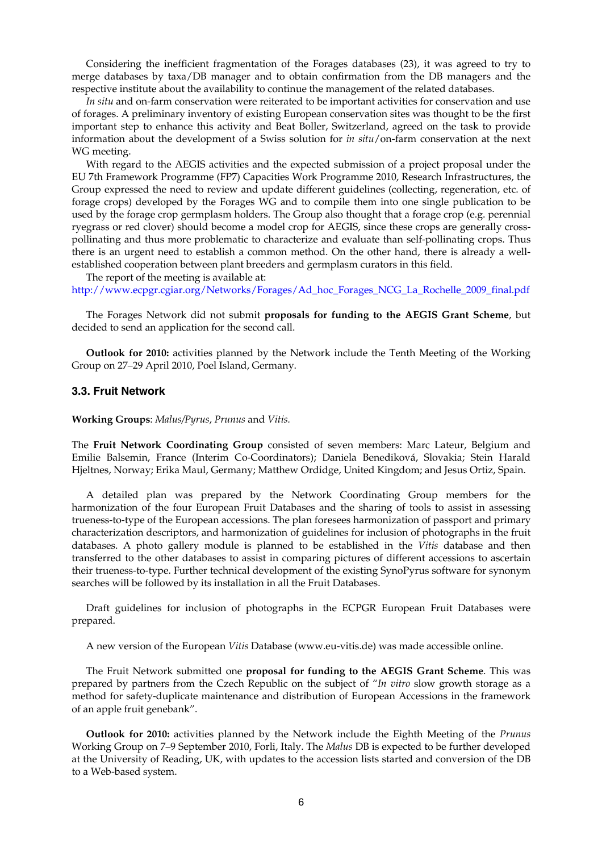Considering the inefficient fragmentation of the Forages databases (23), it was agreed to try to merge databases by taxa/DB manager and to obtain confirmation from the DB managers and the respective institute about the availability to continue the management of the related databases.

*In situ* and on-farm conservation were reiterated to be important activities for conservation and use of forages. A preliminary inventory of existing European conservation sites was thought to be the first important step to enhance this activity and Beat Boller, Switzerland, agreed on the task to provide information about the development of a Swiss solution for *in situ*/on-farm conservation at the next WG meeting.

With regard to the AEGIS activities and the expected submission of a project proposal under the EU 7th Framework Programme (FP7) Capacities Work Programme 2010, Research Infrastructures, the Group expressed the need to review and update different guidelines (collecting, regeneration, etc. of forage crops) developed by the Forages WG and to compile them into one single publication to be used by the forage crop germplasm holders. The Group also thought that a forage crop (e.g. perennial ryegrass or red clover) should become a model crop for AEGIS, since these crops are generally crosspollinating and thus more problematic to characterize and evaluate than self-pollinating crops. Thus there is an urgent need to establish a common method. On the other hand, there is already a wellestablished cooperation between plant breeders and germplasm curators in this field.

The report of the meeting is available at: http://www.ecpgr.cgiar.org/Networks/Forages/Ad\_hoc\_Forages\_NCG\_La\_Rochelle\_2009\_final.pdf

 The Forages Network did not submit **proposals for funding to the AEGIS Grant Scheme**, but decided to send an application for the second call.

 **Outlook for 2010:** activities planned by the Network include the Tenth Meeting of the Working Group on 27–29 April 2010, Poel Island, Germany.

#### **3.3. Fruit Network**

**Working Groups**: *Malus/Pyrus*, *Prunus* and *Vitis.*

The **Fruit Network Coordinating Group** consisted of seven members: Marc Lateur, Belgium and Emilie Balsemin, France (Interim Co-Coordinators); Daniela Benediková, Slovakia; Stein Harald Hjeltnes, Norway; Erika Maul, Germany; Matthew Ordidge, United Kingdom; and Jesus Ortiz, Spain.

 A detailed plan was prepared by the Network Coordinating Group members for the harmonization of the four European Fruit Databases and the sharing of tools to assist in assessing trueness-to-type of the European accessions. The plan foresees harmonization of passport and primary characterization descriptors, and harmonization of guidelines for inclusion of photographs in the fruit databases. A photo gallery module is planned to be established in the *Vitis* database and then transferred to the other databases to assist in comparing pictures of different accessions to ascertain their trueness-to-type. Further technical development of the existing SynoPyrus software for synonym searches will be followed by its installation in all the Fruit Databases.

 Draft guidelines for inclusion of photographs in the ECPGR European Fruit Databases were prepared.

A new version of the European *Vitis* Database (www.eu-vitis.de) was made accessible online.

The Fruit Network submitted one **proposal for funding to the AEGIS Grant Scheme**. This was prepared by partners from the Czech Republic on the subject of "*In vitro* slow growth storage as a method for safety-duplicate maintenance and distribution of European Accessions in the framework of an apple fruit genebank".

 **Outlook for 2010:** activities planned by the Network include the Eighth Meeting of the *Prunus* Working Group on 7–9 September 2010, Forli, Italy. The *Malus* DB is expected to be further developed at the University of Reading, UK, with updates to the accession lists started and conversion of the DB to a Web-based system.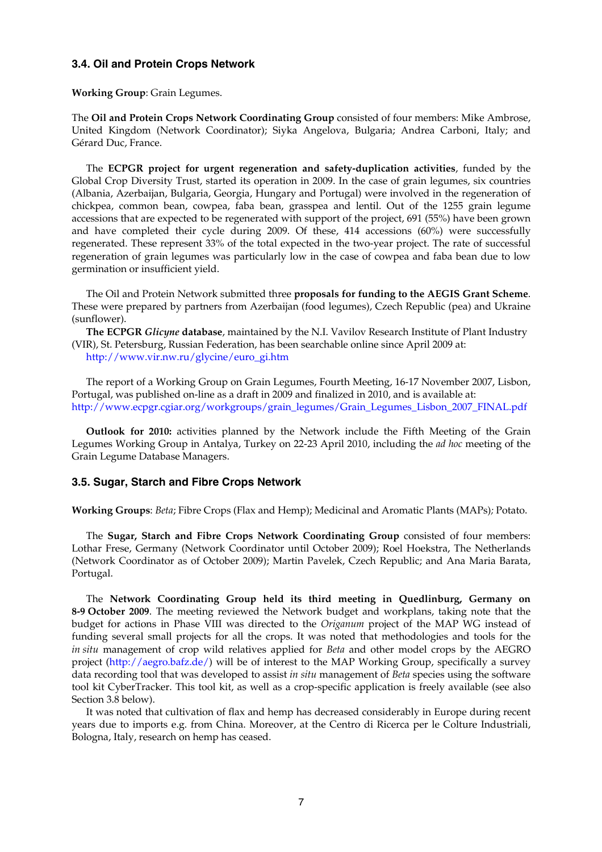## **3.4. Oil and Protein Crops Network**

**Working Group**: Grain Legumes.

The **Oil and Protein Crops Network Coordinating Group** consisted of four members: Mike Ambrose, United Kingdom (Network Coordinator); Siyka Angelova, Bulgaria; Andrea Carboni, Italy; and Gérard Duc, France.

 The **ECPGR project for urgent regeneration and safety-duplication activities**, funded by the Global Crop Diversity Trust, started its operation in 2009. In the case of grain legumes, six countries (Albania, Azerbaijan, Bulgaria, Georgia, Hungary and Portugal) were involved in the regeneration of chickpea, common bean, cowpea, faba bean, grasspea and lentil. Out of the 1255 grain legume accessions that are expected to be regenerated with support of the project, 691 (55%) have been grown and have completed their cycle during 2009. Of these, 414 accessions (60%) were successfully regenerated. These represent 33% of the total expected in the two-year project. The rate of successful regeneration of grain legumes was particularly low in the case of cowpea and faba bean due to low germination or insufficient yield.

 The Oil and Protein Network submitted three **proposals for funding to the AEGIS Grant Scheme**. These were prepared by partners from Azerbaijan (food legumes), Czech Republic (pea) and Ukraine (sunflower).

 **The ECPGR** *Glicyne* **database**, maintained by the N.I. Vavilov Research Institute of Plant Industry (VIR), St. Petersburg, Russian Federation, has been searchable online since April 2009 at:

http://www.vir.nw.ru/glycine/euro\_gi.htm

The report of a Working Group on Grain Legumes, Fourth Meeting, 16-17 November 2007, Lisbon, Portugal, was published on-line as a draft in 2009 and finalized in 2010, and is available at: http://www.ecpgr.cgiar.org/workgroups/grain\_legumes/Grain\_Legumes\_Lisbon\_2007\_FINAL.pdf

 **Outlook for 2010:** activities planned by the Network include the Fifth Meeting of the Grain Legumes Working Group in Antalya, Turkey on 22-23 April 2010, including the *ad hoc* meeting of the Grain Legume Database Managers.

### **3.5. Sugar, Starch and Fibre Crops Network**

**Working Groups**: *Beta*; Fibre Crops (Flax and Hemp); Medicinal and Aromatic Plants (MAPs)*;* Potato.

 The **Sugar, Starch and Fibre Crops Network Coordinating Group** consisted of four members: Lothar Frese, Germany (Network Coordinator until October 2009); Roel Hoekstra, The Netherlands (Network Coordinator as of October 2009); Martin Pavelek, Czech Republic; and Ana Maria Barata, Portugal.

 The **Network Coordinating Group held its third meeting in Quedlinburg, Germany on 8-9 October 2009**. The meeting reviewed the Network budget and workplans, taking note that the budget for actions in Phase VIII was directed to the *Origanum* project of the MAP WG instead of funding several small projects for all the crops. It was noted that methodologies and tools for the *in situ* management of crop wild relatives applied for *Beta* and other model crops by the AEGRO project (http://aegro.bafz.de/) will be of interest to the MAP Working Group, specifically a survey data recording tool that was developed to assist *in situ* management of *Beta* species using the software tool kit CyberTracker. This tool kit, as well as a crop-specific application is freely available (see also Section 3.8 below).

 It was noted that cultivation of flax and hemp has decreased considerably in Europe during recent years due to imports e.g. from China. Moreover, at the Centro di Ricerca per le Colture Industriali, Bologna, Italy, research on hemp has ceased.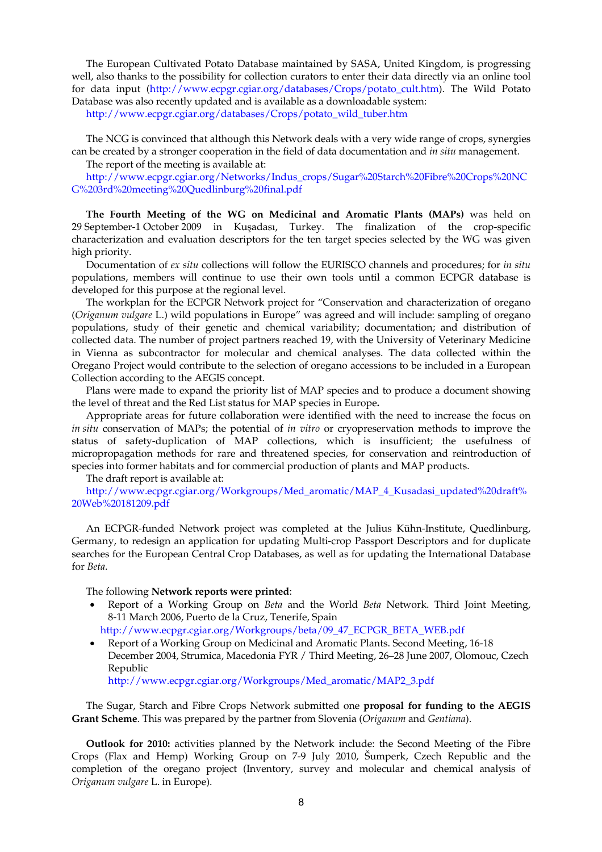The European Cultivated Potato Database maintained by SASA, United Kingdom, is progressing well, also thanks to the possibility for collection curators to enter their data directly via an online tool for data input (http://www.ecpgr.cgiar.org/databases/Crops/potato\_cult.htm). The Wild Potato Database was also recently updated and is available as a downloadable system:

http://www.ecpgr.cgiar.org/databases/Crops/potato\_wild\_tuber.htm

 The NCG is convinced that although this Network deals with a very wide range of crops, synergies can be created by a stronger cooperation in the field of data documentation and *in situ* management.

The report of the meeting is available at:

http://www.ecpgr.cgiar.org/Networks/Indus\_crops/Sugar%20Starch%20Fibre%20Crops%20NC G%203rd%20meeting%20Quedlinburg%20final.pdf

 **The Fourth Meeting of the WG on Medicinal and Aromatic Plants (MAPs)** was held on 29 September-1 October 2009 in Kuşadası, Turkey. The finalization of the crop-specific characterization and evaluation descriptors for the ten target species selected by the WG was given high priority.

 Documentation of *ex situ* collections will follow the EURISCO channels and procedures; for *in situ* populations, members will continue to use their own tools until a common ECPGR database is developed for this purpose at the regional level.

 The workplan for the ECPGR Network project for "Conservation and characterization of oregano (*Origanum vulgare* L.) wild populations in Europe" was agreed and will include: sampling of oregano populations, study of their genetic and chemical variability; documentation; and distribution of collected data. The number of project partners reached 19, with the University of Veterinary Medicine in Vienna as subcontractor for molecular and chemical analyses. The data collected within the Oregano Project would contribute to the selection of oregano accessions to be included in a European Collection according to the AEGIS concept.

 Plans were made to expand the priority list of MAP species and to produce a document showing the level of threat and the Red List status for MAP species in Europe**.**

 Appropriate areas for future collaboration were identified with the need to increase the focus on *in situ* conservation of MAPs; the potential of *in vitro* or cryopreservation methods to improve the status of safety-duplication of MAP collections, which is insufficient; the usefulness of micropropagation methods for rare and threatened species, for conservation and reintroduction of species into former habitats and for commercial production of plants and MAP products.

The draft report is available at:

 http://www.ecpgr.cgiar.org/Workgroups/Med\_aromatic/MAP\_4\_Kusadasi\_updated%20draft% 20Web%20181209.pdf

 An ECPGR-funded Network project was completed at the Julius Kühn-Institute, Quedlinburg, Germany, to redesign an application for updating Multi-crop Passport Descriptors and for duplicate searches for the European Central Crop Databases, as well as for updating the International Database for *Beta*.

The following **Network reports were printed**:

- Report of a Working Group on *Beta* and the World *Beta* Network. Third Joint Meeting, 8-11 March 2006, Puerto de la Cruz, Tenerife, Spain http://www.ecpgr.cgiar.org/Workgroups/beta/09\_47\_ECPGR\_BETA\_WEB.pdf
- Report of a Working Group on Medicinal and Aromatic Plants. Second Meeting, 16-18 December 2004, Strumica, Macedonia FYR / Third Meeting, 26–28 June 2007, Olomouc, Czech Republic

http://www.ecpgr.cgiar.org/Workgroups/Med\_aromatic/MAP2\_3.pdf

 The Sugar, Starch and Fibre Crops Network submitted one **proposal for funding to the AEGIS Grant Scheme**. This was prepared by the partner from Slovenia (*Origanum* and *Gentiana*).

 **Outlook for 2010:** activities planned by the Network include: the Second Meeting of the Fibre Crops (Flax and Hemp) Working Group on 7-9 July 2010, Šumperk, Czech Republic and the completion of the oregano project (Inventory, survey and molecular and chemical analysis of *Origanum vulgare* L. in Europe).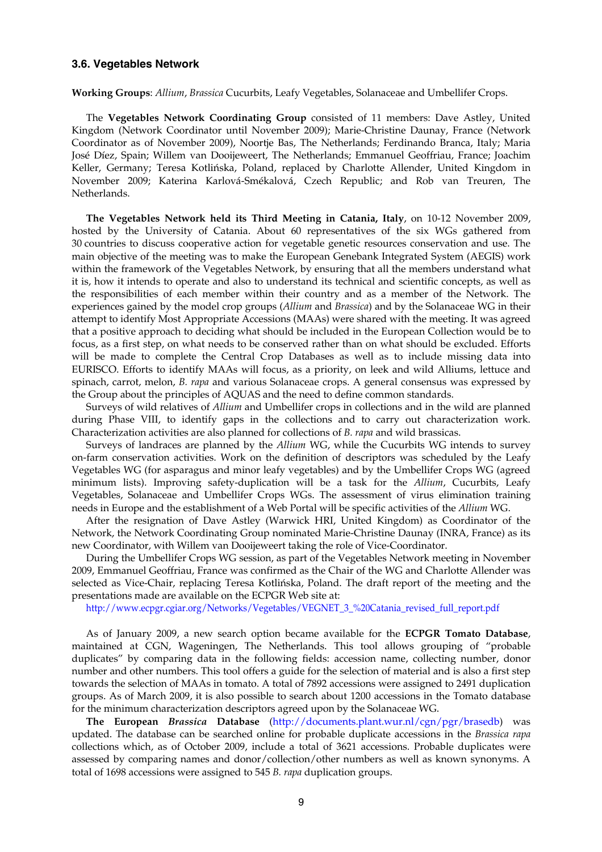#### **3.6. Vegetables Network**

**Working Groups**: *Allium*, *Brassica* Cucurbits, Leafy Vegetables, Solanaceae and Umbellifer Crops.

 The **Vegetables Network Coordinating Group** consisted of 11 members: Dave Astley, United Kingdom (Network Coordinator until November 2009); Marie-Christine Daunay, France (Network Coordinator as of November 2009), Noortje Bas, The Netherlands; Ferdinando Branca, Italy; Maria José Díez, Spain; Willem van Dooijeweert, The Netherlands; Emmanuel Geoffriau, France; Joachim Keller, Germany; Teresa Kotlińska, Poland, replaced by Charlotte Allender, United Kingdom in November 2009; Katerina Karlová-Smékalová, Czech Republic; and Rob van Treuren, The Netherlands.

**The Vegetables Network held its Third Meeting in Catania, Italy**, on 10-12 November 2009, hosted by the University of Catania. About 60 representatives of the six WGs gathered from 30 countries to discuss cooperative action for vegetable genetic resources conservation and use. The main objective of the meeting was to make the European Genebank Integrated System (AEGIS) work within the framework of the Vegetables Network, by ensuring that all the members understand what it is, how it intends to operate and also to understand its technical and scientific concepts, as well as the responsibilities of each member within their country and as a member of the Network. The experiences gained by the model crop groups (*Allium* and *Brassica*) and by the Solanaceae WG in their attempt to identify Most Appropriate Accessions (MAAs) were shared with the meeting. It was agreed that a positive approach to deciding what should be included in the European Collection would be to focus, as a first step, on what needs to be conserved rather than on what should be excluded. Efforts will be made to complete the Central Crop Databases as well as to include missing data into EURISCO. Efforts to identify MAAs will focus, as a priority, on leek and wild Alliums, lettuce and spinach, carrot, melon, *B. rapa* and various Solanaceae crops. A general consensus was expressed by the Group about the principles of AQUAS and the need to define common standards.

 Surveys of wild relatives of *Allium* and Umbellifer crops in collections and in the wild are planned during Phase VIII, to identify gaps in the collections and to carry out characterization work. Characterization activities are also planned for collections of *B. rapa* and wild brassicas.

 Surveys of landraces are planned by the *Allium* WG, while the Cucurbits WG intends to survey on-farm conservation activities. Work on the definition of descriptors was scheduled by the Leafy Vegetables WG (for asparagus and minor leafy vegetables) and by the Umbellifer Crops WG (agreed minimum lists). Improving safety-duplication will be a task for the *Allium*, Cucurbits, Leafy Vegetables, Solanaceae and Umbellifer Crops WGs. The assessment of virus elimination training needs in Europe and the establishment of a Web Portal will be specific activities of the *Allium* WG.

 After the resignation of Dave Astley (Warwick HRI, United Kingdom) as Coordinator of the Network, the Network Coordinating Group nominated Marie-Christine Daunay (INRA, France) as its new Coordinator, with Willem van Dooijeweert taking the role of Vice-Coordinator.

 During the Umbellifer Crops WG session, as part of the Vegetables Network meeting in November 2009, Emmanuel Geoffriau, France was confirmed as the Chair of the WG and Charlotte Allender was selected as Vice-Chair, replacing Teresa Kotlińska, Poland. The draft report of the meeting and the presentations made are available on the ECPGR Web site at:

http://www.ecpgr.cgiar.org/Networks/Vegetables/VEGNET\_3\_%20Catania\_revised\_full\_report.pdf

 As of January 2009, a new search option became available for the **ECPGR Tomato Database**, maintained at CGN, Wageningen, The Netherlands. This tool allows grouping of "probable duplicates" by comparing data in the following fields: accession name, collecting number, donor number and other numbers. This tool offers a guide for the selection of material and is also a first step towards the selection of MAAs in tomato. A total of 7892 accessions were assigned to 2491 duplication groups. As of March 2009, it is also possible to search about 1200 accessions in the Tomato database for the minimum characterization descriptors agreed upon by the Solanaceae WG.

**The European** *Brassica* **Database** (http://documents.plant.wur.nl/cgn/pgr/brasedb) was updated. The database can be searched online for probable duplicate accessions in the *Brassica rapa* collections which, as of October 2009, include a total of 3621 accessions. Probable duplicates were assessed by comparing names and donor/collection/other numbers as well as known synonyms. A total of 1698 accessions were assigned to 545 *B. rapa* duplication groups.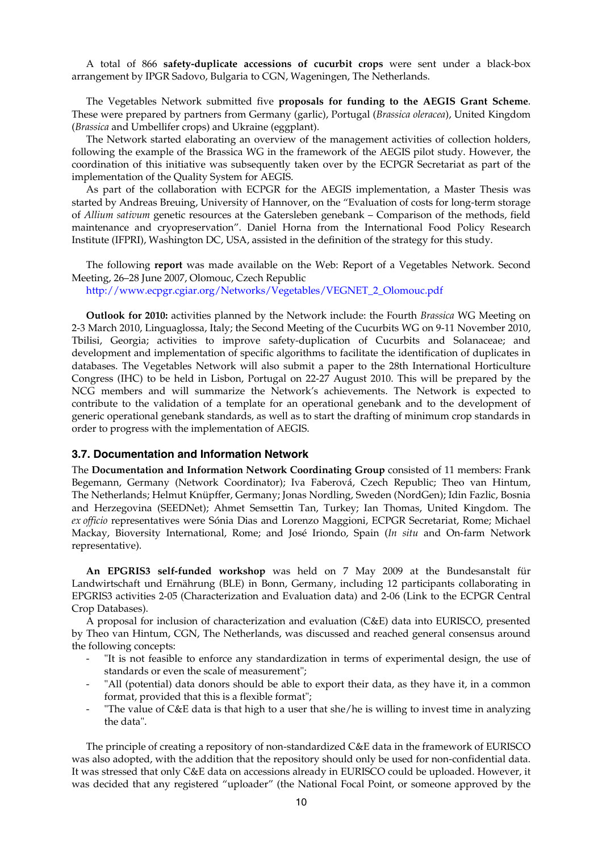A total of 866 **safety-duplicate accessions of cucurbit crops** were sent under a black-box arrangement by IPGR Sadovo, Bulgaria to CGN, Wageningen, The Netherlands.

 The Vegetables Network submitted five **proposals for funding to the AEGIS Grant Scheme**. These were prepared by partners from Germany (garlic), Portugal (*Brassica oleracea*), United Kingdom (*Brassica* and Umbellifer crops) and Ukraine (eggplant).

 The Network started elaborating an overview of the management activities of collection holders, following the example of the Brassica WG in the framework of the AEGIS pilot study. However, the coordination of this initiative was subsequently taken over by the ECPGR Secretariat as part of the implementation of the Quality System for AEGIS.

 As part of the collaboration with ECPGR for the AEGIS implementation, a Master Thesis was started by Andreas Breuing, University of Hannover, on the "Evaluation of costs for long-term storage of *Allium sativum* genetic resources at the Gatersleben genebank – Comparison of the methods, field maintenance and cryopreservation". Daniel Horna from the International Food Policy Research Institute (IFPRI), Washington DC, USA, assisted in the definition of the strategy for this study.

 The following **report** was made available on the Web: Report of a Vegetables Network. Second Meeting, 26–28 June 2007, Olomouc, Czech Republic

http://www.ecpgr.cgiar.org/Networks/Vegetables/VEGNET\_2\_Olomouc.pdf

 **Outlook for 2010:** activities planned by the Network include: the Fourth *Brassica* WG Meeting on 2-3 March 2010, Linguaglossa, Italy; the Second Meeting of the Cucurbits WG on 9-11 November 2010, Tbilisi, Georgia; activities to improve safety-duplication of Cucurbits and Solanaceae; and development and implementation of specific algorithms to facilitate the identification of duplicates in databases. The Vegetables Network will also submit a paper to the 28th International Horticulture Congress (IHC) to be held in Lisbon, Portugal on 22-27 August 2010. This will be prepared by the NCG members and will summarize the Network's achievements. The Network is expected to contribute to the validation of a template for an operational genebank and to the development of generic operational genebank standards, as well as to start the drafting of minimum crop standards in order to progress with the implementation of AEGIS.

#### **3.7. Documentation and Information Network**

The **Documentation and Information Network Coordinating Group** consisted of 11 members: Frank Begemann, Germany (Network Coordinator); Iva Faberová, Czech Republic; Theo van Hintum, The Netherlands; Helmut Knüpffer, Germany; Jonas Nordling, Sweden (NordGen); Idin Fazlic, Bosnia and Herzegovina (SEEDNet); Ahmet Semsettin Tan, Turkey; Ian Thomas, United Kingdom. The *ex officio* representatives were Sónia Dias and Lorenzo Maggioni, ECPGR Secretariat, Rome; Michael Mackay, Bioversity International, Rome; and José Iriondo, Spain (*In situ* and On-farm Network representative).

**An EPGRIS3 self-funded workshop** was held on 7 May 2009 at the Bundesanstalt für Landwirtschaft und Ernährung (BLE) in Bonn, Germany, including 12 participants collaborating in EPGRIS3 activities 2-05 (Characterization and Evaluation data) and 2-06 (Link to the ECPGR Central Crop Databases).

 A proposal for inclusion of characterization and evaluation (C&E) data into EURISCO, presented by Theo van Hintum, CGN, The Netherlands, was discussed and reached general consensus around the following concepts:

- "It is not feasible to enforce any standardization in terms of experimental design, the use of standards or even the scale of measurement";
- "All (potential) data donors should be able to export their data, as they have it, in a common format, provided that this is a flexible format";
- "The value of  $C&E$  data is that high to a user that she/he is willing to invest time in analyzing the data".

 The principle of creating a repository of non-standardized C&E data in the framework of EURISCO was also adopted, with the addition that the repository should only be used for non-confidential data. It was stressed that only C&E data on accessions already in EURISCO could be uploaded. However, it was decided that any registered "uploader" (the National Focal Point, or someone approved by the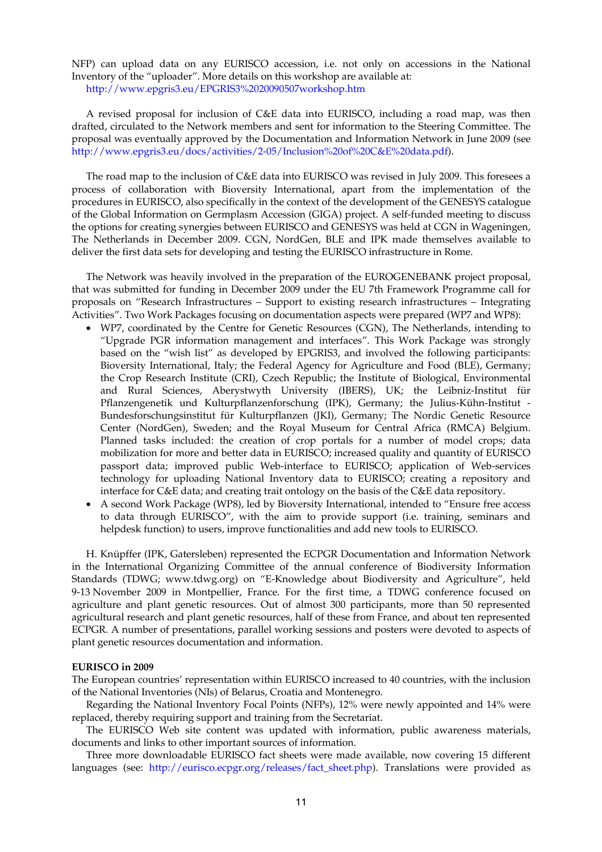NFP) can upload data on any EURISCO accession, i.e. not only on accessions in the National Inventory of the "uploader". More details on this workshop are available at: http://www.epgris3.eu/EPGRIS3%2020090507workshop.htm

 A revised proposal for inclusion of C&E data into EURISCO, including a road map, was then drafted, circulated to the Network members and sent for information to the Steering Committee. The proposal was eventually approved by the Documentation and Information Network in June 2009 (see http://www.epgris3.eu/docs/activities/2-05/Inclusion%20of%20C&E%20data.pdf).

 The road map to the inclusion of C&E data into EURISCO was revised in July 2009. This foresees a process of collaboration with Bioversity International, apart from the implementation of the procedures in EURISCO, also specifically in the context of the development of the GENESYS catalogue of the Global Information on Germplasm Accession (GIGA) project. A self-funded meeting to discuss the options for creating synergies between EURISCO and GENESYS was held at CGN in Wageningen, The Netherlands in December 2009. CGN, NordGen, BLE and IPK made themselves available to deliver the first data sets for developing and testing the EURISCO infrastructure in Rome.

 The Network was heavily involved in the preparation of the EUROGENEBANK project proposal, that was submitted for funding in December 2009 under the EU 7th Framework Programme call for proposals on "Research Infrastructures – Support to existing research infrastructures – Integrating Activities". Two Work Packages focusing on documentation aspects were prepared (WP7 and WP8):

- WP7, coordinated by the Centre for Genetic Resources (CGN), The Netherlands, intending to "Upgrade PGR information management and interfaces". This Work Package was strongly based on the "wish list" as developed by EPGRIS3, and involved the following participants: Bioversity International, Italy; the Federal Agency for Agriculture and Food (BLE), Germany; the Crop Research Institute (CRI), Czech Republic; the Institute of Biological, Environmental and Rural Sciences, Aberystwyth University (IBERS), UK; the Leibniz-Institut für Pflanzengenetik und Kulturpflanzenforschung (IPK), Germany; the Julius-Kühn-Institut - Bundesforschungsinstitut für Kulturpflanzen (JKI), Germany; The Nordic Genetic Resource Center (NordGen), Sweden; and the Royal Museum for Central Africa (RMCA) Belgium. Planned tasks included: the creation of crop portals for a number of model crops; data mobilization for more and better data in EURISCO; increased quality and quantity of EURISCO passport data; improved public Web-interface to EURISCO; application of Web-services technology for uploading National Inventory data to EURISCO; creating a repository and interface for C&E data; and creating trait ontology on the basis of the C&E data repository.
- A second Work Package (WP8), led by Bioversity International, intended to "Ensure free access to data through EURISCO", with the aim to provide support (i.e. training, seminars and helpdesk function) to users, improve functionalities and add new tools to EURISCO.

 H. Knüpffer (IPK, Gatersleben) represented the ECPGR Documentation and Information Network in the International Organizing Committee of the annual conference of Biodiversity Information Standards (TDWG; www.tdwg.org) on "E-Knowledge about Biodiversity and Agriculture", held 9-13 November 2009 in Montpellier, France. For the first time, a TDWG conference focused on agriculture and plant genetic resources. Out of almost 300 participants, more than 50 represented agricultural research and plant genetic resources, half of these from France, and about ten represented ECPGR. A number of presentations, parallel working sessions and posters were devoted to aspects of plant genetic resources documentation and information.

#### **EURISCO in 2009**

The European countries' representation within EURISCO increased to 40 countries, with the inclusion of the National Inventories (NIs) of Belarus, Croatia and Montenegro.

 Regarding the National Inventory Focal Points (NFPs), 12% were newly appointed and 14% were replaced, thereby requiring support and training from the Secretariat.

 The EURISCO Web site content was updated with information, public awareness materials, documents and links to other important sources of information.

 Three more downloadable EURISCO fact sheets were made available, now covering 15 different languages (see: http://eurisco.ecpgr.org/releases/fact\_sheet.php). Translations were provided as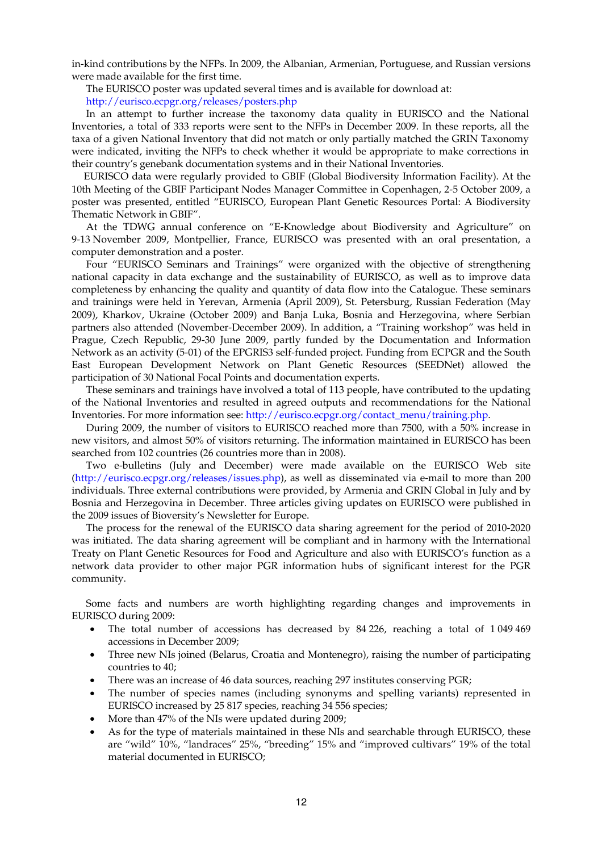in-kind contributions by the NFPs. In 2009, the Albanian, Armenian, Portuguese, and Russian versions were made available for the first time.

The EURISCO poster was updated several times and is available for download at:

http://eurisco.ecpgr.org/releases/posters.php

 In an attempt to further increase the taxonomy data quality in EURISCO and the National Inventories, a total of 333 reports were sent to the NFPs in December 2009. In these reports, all the taxa of a given National Inventory that did not match or only partially matched the GRIN Taxonomy were indicated, inviting the NFPs to check whether it would be appropriate to make corrections in their country's genebank documentation systems and in their National Inventories.

EURISCO data were regularly provided to GBIF (Global Biodiversity Information Facility). At the 10th Meeting of the GBIF Participant Nodes Manager Committee in Copenhagen, 2-5 October 2009, a poster was presented, entitled "EURISCO, European Plant Genetic Resources Portal: A Biodiversity Thematic Network in GBIF".

 At the TDWG annual conference on "E-Knowledge about Biodiversity and Agriculture" on 9-13 November 2009, Montpellier, France, EURISCO was presented with an oral presentation, a computer demonstration and a poster.

 Four "EURISCO Seminars and Trainings" were organized with the objective of strengthening national capacity in data exchange and the sustainability of EURISCO, as well as to improve data completeness by enhancing the quality and quantity of data flow into the Catalogue. These seminars and trainings were held in Yerevan, Armenia (April 2009), St. Petersburg, Russian Federation (May 2009), Kharkov, Ukraine (October 2009) and Banja Luka, Bosnia and Herzegovina, where Serbian partners also attended (November-December 2009). In addition, a "Training workshop" was held in Prague, Czech Republic, 29-30 June 2009, partly funded by the Documentation and Information Network as an activity (5-01) of the EPGRIS3 self-funded project. Funding from ECPGR and the South East European Development Network on Plant Genetic Resources (SEEDNet) allowed the participation of 30 National Focal Points and documentation experts.

 These seminars and trainings have involved a total of 113 people, have contributed to the updating of the National Inventories and resulted in agreed outputs and recommendations for the National Inventories. For more information see: http://eurisco.ecpgr.org/contact\_menu/training.php.

 During 2009, the number of visitors to EURISCO reached more than 7500, with a 50% increase in new visitors, and almost 50% of visitors returning. The information maintained in EURISCO has been searched from 102 countries (26 countries more than in 2008).

 Two e-bulletins (July and December) were made available on the EURISCO Web site (http://eurisco.ecpgr.org/releases/issues.php), as well as disseminated via e-mail to more than 200 individuals. Three external contributions were provided, by Armenia and GRIN Global in July and by Bosnia and Herzegovina in December. Three articles giving updates on EURISCO were published in the 2009 issues of Bioversity's Newsletter for Europe.

 The process for the renewal of the EURISCO data sharing agreement for the period of 2010-2020 was initiated. The data sharing agreement will be compliant and in harmony with the International Treaty on Plant Genetic Resources for Food and Agriculture and also with EURISCO's function as a network data provider to other major PGR information hubs of significant interest for the PGR community.

 Some facts and numbers are worth highlighting regarding changes and improvements in EURISCO during 2009:

- The total number of accessions has decreased by 84 226, reaching a total of 1049 469 accessions in December 2009;
- Three new NIs joined (Belarus, Croatia and Montenegro), raising the number of participating countries to 40;
- There was an increase of 46 data sources, reaching 297 institutes conserving PGR;
- The number of species names (including synonyms and spelling variants) represented in EURISCO increased by 25 817 species, reaching 34 556 species;
- More than 47% of the NIs were updated during 2009;
- As for the type of materials maintained in these NIs and searchable through EURISCO, these are "wild" 10%, "landraces" 25%, "breeding" 15% and "improved cultivars" 19% of the total material documented in EURISCO;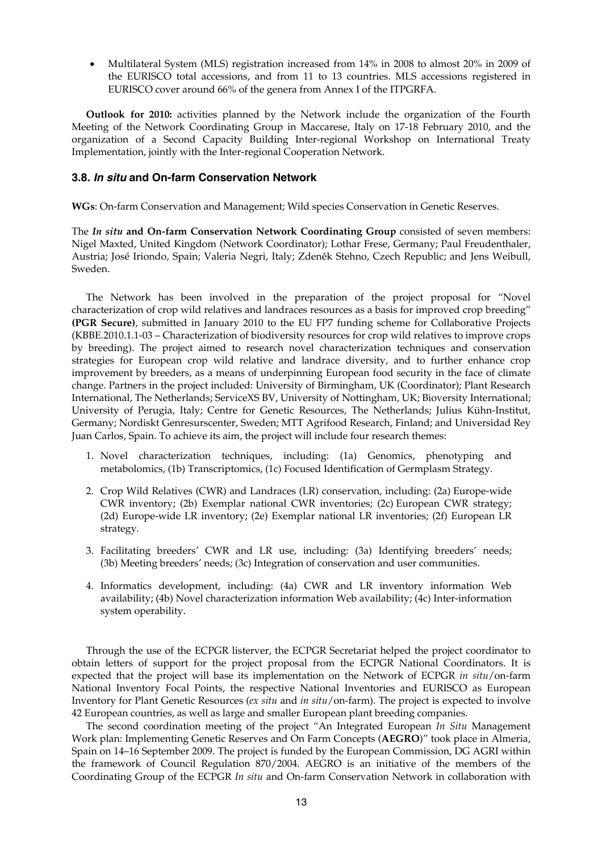• Multilateral System (MLS) registration increased from 14% in 2008 to almost 20% in 2009 of the EURISCO total accessions, and from 11 to 13 countries. MLS accessions registered in EURISCO cover around 66% of the genera from Annex I of the ITPGRFA.

 **Outlook for 2010:** activities planned by the Network include the organization of the Fourth Meeting of the Network Coordinating Group in Maccarese, Italy on 17-18 February 2010, and the organization of a Second Capacity Building Inter-regional Workshop on International Treaty Implementation, jointly with the Inter-regional Cooperation Network.

## **3.8.** *In situ* **and On-farm Conservation Network**

**WGs**: On-farm Conservation and Management; Wild species Conservation in Genetic Reserves.

The *In situ* **and On-farm Conservation Network Coordinating Group** consisted of seven members: Nigel Maxted, United Kingdom (Network Coordinator); Lothar Frese, Germany; Paul Freudenthaler, Austria; José Iriondo, Spain; Valeria Negri, Italy; Zdeněk Stehno, Czech Republic; and Jens Weibull, Sweden.

 The Network has been involved in the preparation of the project proposal for "Novel characterization of crop wild relatives and landraces resources as a basis for improved crop breeding" **(PGR Secure)**, submitted in January 2010 to the EU FP7 funding scheme for Collaborative Projects (KBBE.2010.1.1-03 – Characterization of biodiversity resources for crop wild relatives to improve crops by breeding). The project aimed to research novel characterization techniques and conservation strategies for European crop wild relative and landrace diversity, and to further enhance crop improvement by breeders, as a means of underpinning European food security in the face of climate change. Partners in the project included: University of Birmingham, UK (Coordinator); Plant Research International, The Netherlands; ServiceXS BV, University of Nottingham, UK; Bioversity International; University of Perugia, Italy; Centre for Genetic Resources, The Netherlands; Julius Kühn-Institut, Germany; Nordiskt Genresurscenter, Sweden; MTT Agrifood Research, Finland; and Universidad Rey Juan Carlos, Spain. To achieve its aim, the project will include four research themes:

- 1. Novel characterization techniques, including: (1a) Genomics, phenotyping and metabolomics, (1b) Transcriptomics, (1c) Focused Identification of Germplasm Strategy.
- 2. Crop Wild Relatives (CWR) and Landraces (LR) conservation, including: (2a) Europe-wide CWR inventory; (2b) Exemplar national CWR inventories; (2c) European CWR strategy; (2d) Europe-wide LR inventory; (2e) Exemplar national LR inventories; (2f) European LR strategy.
- 3. Facilitating breeders' CWR and LR use, including: (3a) Identifying breeders' needs; (3b) Meeting breeders' needs; (3c) Integration of conservation and user communities.
- 4. Informatics development, including: (4a) CWR and LR inventory information Web availability; (4b) Novel characterization information Web availability; (4c) Inter-information system operability.

 Through the use of the ECPGR listerver, the ECPGR Secretariat helped the project coordinator to obtain letters of support for the project proposal from the ECPGR National Coordinators. It is expected that the project will base its implementation on the Network of ECPGR *in situ*/on-farm National Inventory Focal Points, the respective National Inventories and EURISCO as European Inventory for Plant Genetic Resources (*ex situ* and *in situ*/on-farm). The project is expected to involve 42 European countries, as well as large and smaller European plant breeding companies.

 The second coordination meeting of the project "An Integrated European *In Situ* Management Work plan: Implementing Genetic Reserves and On Farm Concepts (**AEGRO**)" took place in Almeria, Spain on 14–16 September 2009. The project is funded by the European Commission, DG AGRI within the framework of Council Regulation 870/2004. AEGRO is an initiative of the members of the Coordinating Group of the ECPGR *In situ* and On-farm Conservation Network in collaboration with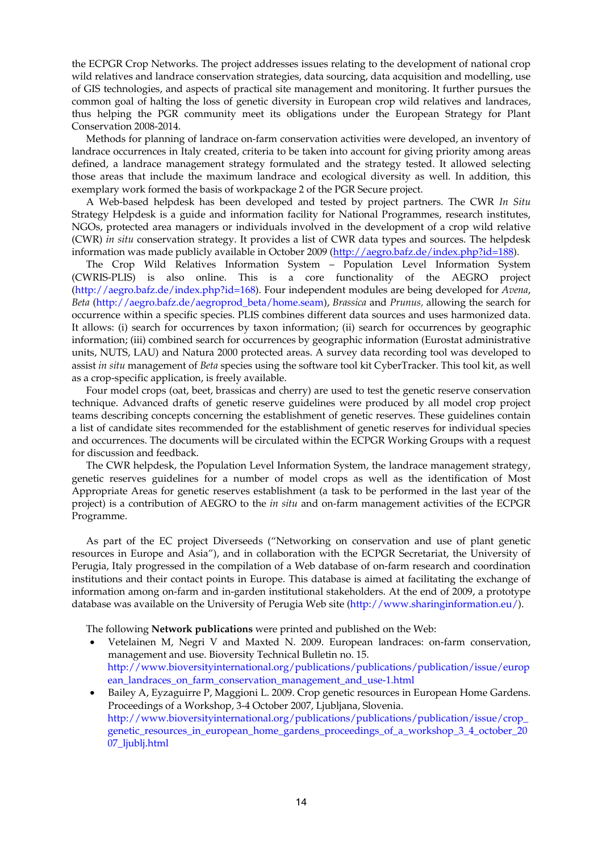the ECPGR Crop Networks. The project addresses issues relating to the development of national crop wild relatives and landrace conservation strategies, data sourcing, data acquisition and modelling, use of GIS technologies, and aspects of practical site management and monitoring. It further pursues the common goal of halting the loss of genetic diversity in European crop wild relatives and landraces, thus helping the PGR community meet its obligations under the European Strategy for Plant Conservation 2008-2014.

 Methods for planning of landrace on-farm conservation activities were developed, an inventory of landrace occurrences in Italy created, criteria to be taken into account for giving priority among areas defined, a landrace management strategy formulated and the strategy tested. It allowed selecting those areas that include the maximum landrace and ecological diversity as well. In addition, this exemplary work formed the basis of workpackage 2 of the PGR Secure project.

 A Web-based helpdesk has been developed and tested by project partners. The CWR *In Situ* Strategy Helpdesk is a guide and information facility for National Programmes, research institutes, NGOs, protected area managers or individuals involved in the development of a crop wild relative (CWR) *in situ* conservation strategy. It provides a list of CWR data types and sources. The helpdesk information was made publicly available in October 2009 (http://aegro.bafz.de/index.php?id=188).

 The Crop Wild Relatives Information System – Population Level Information System (CWRIS-PLIS) is also online. This is a core functionality of the AEGRO project (http://aegro.bafz.de/index.php?id=168). Four independent modules are being developed for *Avena*, *Beta* (http://aegro.bafz.de/aegroprod\_beta/home.seam), *Brassica* and *Prunus,* allowing the search for occurrence within a specific species. PLIS combines different data sources and uses harmonized data. It allows: (i) search for occurrences by taxon information; (ii) search for occurrences by geographic information; (iii) combined search for occurrences by geographic information (Eurostat administrative units, NUTS, LAU) and Natura 2000 protected areas. A survey data recording tool was developed to assist *in situ* management of *Beta* species using the software tool kit CyberTracker. This tool kit, as well as a crop-specific application, is freely available.

 Four model crops (oat, beet, brassicas and cherry) are used to test the genetic reserve conservation technique. Advanced drafts of genetic reserve guidelines were produced by all model crop project teams describing concepts concerning the establishment of genetic reserves. These guidelines contain a list of candidate sites recommended for the establishment of genetic reserves for individual species and occurrences. The documents will be circulated within the ECPGR Working Groups with a request for discussion and feedback.

 The CWR helpdesk, the Population Level Information System, the landrace management strategy, genetic reserves guidelines for a number of model crops as well as the identification of Most Appropriate Areas for genetic reserves establishment (a task to be performed in the last year of the project) is a contribution of AEGRO to the *in situ* and on-farm management activities of the ECPGR Programme.

 As part of the EC project Diverseeds ("Networking on conservation and use of plant genetic resources in Europe and Asia"), and in collaboration with the ECPGR Secretariat, the University of Perugia, Italy progressed in the compilation of a Web database of on-farm research and coordination institutions and their contact points in Europe. This database is aimed at facilitating the exchange of information among on-farm and in-garden institutional stakeholders. At the end of 2009, a prototype database was available on the University of Perugia Web site (http://www.sharinginformation.eu/).

The following **Network publications** were printed and published on the Web:

- Vetelainen M, Negri V and Maxted N. 2009. European landraces: on-farm conservation, management and use. Bioversity Technical Bulletin no. 15. http://www.bioversityinternational.org/publications/publications/publication/issue/europ ean\_landraces\_on\_farm\_conservation\_management\_and\_use-1.html
- Bailey A, Eyzaguirre P, Maggioni L. 2009. Crop genetic resources in European Home Gardens. Proceedings of a Workshop, 3-4 October 2007, Ljubljana, Slovenia. http://www.bioversityinternational.org/publications/publications/publication/issue/crop\_ genetic\_resources\_in\_european\_home\_gardens\_proceedings\_of\_a\_workshop\_3\_4\_october\_20 07\_ljublj.html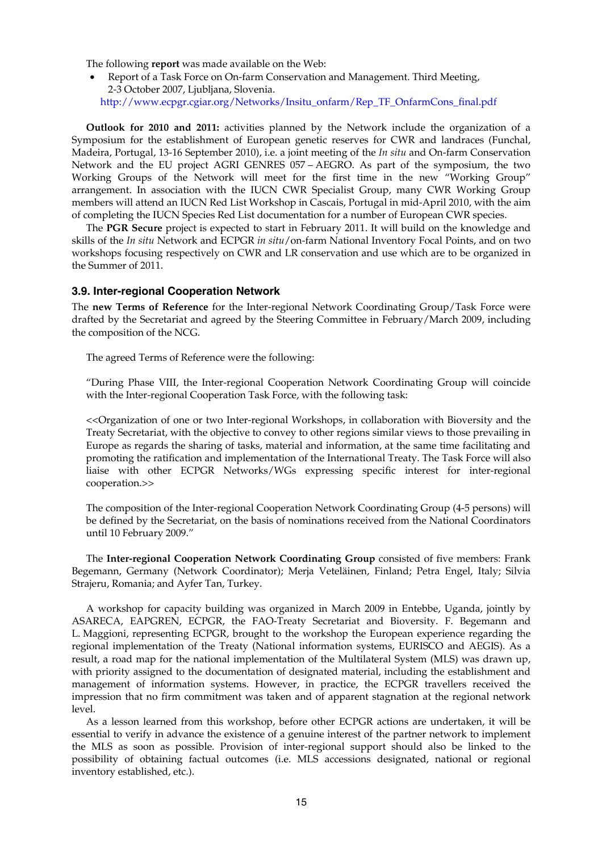The following **report** was made available on the Web:

• Report of a Task Force on On-farm Conservation and Management. Third Meeting, 2-3 October 2007, Ljubljana, Slovenia. http://www.ecpgr.cgiar.org/Networks/Insitu\_onfarm/Rep\_TF\_OnfarmCons\_final.pdf

 **Outlook for 2010 and 2011:** activities planned by the Network include the organization of a Symposium for the establishment of European genetic reserves for CWR and landraces (Funchal, Madeira, Portugal, 13-16 September 2010), i.e. a joint meeting of the *In situ* and On-farm Conservation Network and the EU project AGRI GENRES 057 – AEGRO. As part of the symposium, the two Working Groups of the Network will meet for the first time in the new "Working Group" arrangement. In association with the IUCN CWR Specialist Group, many CWR Working Group members will attend an IUCN Red List Workshop in Cascais, Portugal in mid-April 2010, with the aim of completing the IUCN Species Red List documentation for a number of European CWR species.

 The **PGR Secure** project is expected to start in February 2011. It will build on the knowledge and skills of the *In situ* Network and ECPGR *in situ*/on-farm National Inventory Focal Points, and on two workshops focusing respectively on CWR and LR conservation and use which are to be organized in the Summer of 2011.

## **3.9. Inter-regional Cooperation Network**

The **new Terms of Reference** for the Inter-regional Network Coordinating Group/Task Force were drafted by the Secretariat and agreed by the Steering Committee in February/March 2009, including the composition of the NCG.

The agreed Terms of Reference were the following:

"During Phase VIII, the Inter-regional Cooperation Network Coordinating Group will coincide with the Inter-regional Cooperation Task Force, with the following task:

<<Organization of one or two Inter-regional Workshops, in collaboration with Bioversity and the Treaty Secretariat, with the objective to convey to other regions similar views to those prevailing in Europe as regards the sharing of tasks, material and information, at the same time facilitating and promoting the ratification and implementation of the International Treaty. The Task Force will also liaise with other ECPGR Networks/WGs expressing specific interest for inter-regional cooperation.>>

The composition of the Inter-regional Cooperation Network Coordinating Group (4-5 persons) will be defined by the Secretariat, on the basis of nominations received from the National Coordinators until 10 February 2009."

 The **Inter-regional Cooperation Network Coordinating Group** consisted of five members: Frank Begemann, Germany (Network Coordinator); Merja Veteläinen, Finland; Petra Engel, Italy; Silvia Strajeru, Romania; and Ayfer Tan, Turkey.

 A workshop for capacity building was organized in March 2009 in Entebbe, Uganda, jointly by ASARECA, EAPGREN, ECPGR, the FAO-Treaty Secretariat and Bioversity. F. Begemann and L. Maggioni, representing ECPGR, brought to the workshop the European experience regarding the regional implementation of the Treaty (National information systems, EURISCO and AEGIS). As a result, a road map for the national implementation of the Multilateral System (MLS) was drawn up, with priority assigned to the documentation of designated material, including the establishment and management of information systems. However, in practice, the ECPGR travellers received the impression that no firm commitment was taken and of apparent stagnation at the regional network level.

 As a lesson learned from this workshop, before other ECPGR actions are undertaken, it will be essential to verify in advance the existence of a genuine interest of the partner network to implement the MLS as soon as possible. Provision of inter-regional support should also be linked to the possibility of obtaining factual outcomes (i.e. MLS accessions designated, national or regional inventory established, etc.).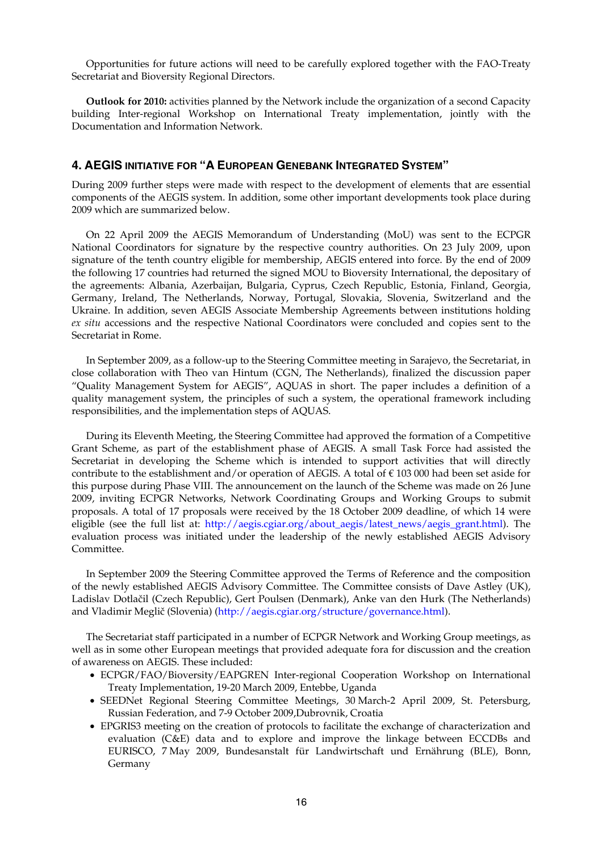Opportunities for future actions will need to be carefully explored together with the FAO-Treaty Secretariat and Bioversity Regional Directors.

 **Outlook for 2010:** activities planned by the Network include the organization of a second Capacity building Inter-regional Workshop on International Treaty implementation, jointly with the Documentation and Information Network.

## **4. AEGIS INITIATIVE FOR "A EUROPEAN GENEBANK INTEGRATED SYSTEM"**

During 2009 further steps were made with respect to the development of elements that are essential components of the AEGIS system. In addition, some other important developments took place during 2009 which are summarized below.

On 22 April 2009 the AEGIS Memorandum of Understanding (MoU) was sent to the ECPGR National Coordinators for signature by the respective country authorities. On 23 July 2009, upon signature of the tenth country eligible for membership, AEGIS entered into force. By the end of 2009 the following 17 countries had returned the signed MOU to Bioversity International, the depositary of the agreements: Albania, Azerbaijan, Bulgaria, Cyprus, Czech Republic, Estonia, Finland, Georgia, Germany, Ireland, The Netherlands, Norway, Portugal, Slovakia, Slovenia, Switzerland and the Ukraine. In addition, seven AEGIS Associate Membership Agreements between institutions holding *ex situ* accessions and the respective National Coordinators were concluded and copies sent to the Secretariat in Rome.

In September 2009, as a follow-up to the Steering Committee meeting in Sarajevo, the Secretariat, in close collaboration with Theo van Hintum (CGN, The Netherlands), finalized the discussion paper "Quality Management System for AEGIS", AQUAS in short. The paper includes a definition of a quality management system, the principles of such a system, the operational framework including responsibilities, and the implementation steps of AQUAS.

During its Eleventh Meeting, the Steering Committee had approved the formation of a Competitive Grant Scheme, as part of the establishment phase of AEGIS. A small Task Force had assisted the Secretariat in developing the Scheme which is intended to support activities that will directly contribute to the establishment and/or operation of AEGIS. A total of  $\epsilon$  103 000 had been set aside for this purpose during Phase VIII. The announcement on the launch of the Scheme was made on 26 June 2009, inviting ECPGR Networks, Network Coordinating Groups and Working Groups to submit proposals. A total of 17 proposals were received by the 18 October 2009 deadline, of which 14 were eligible (see the full list at: http://aegis.cgiar.org/about\_aegis/latest\_news/aegis\_grant.html). The evaluation process was initiated under the leadership of the newly established AEGIS Advisory Committee.

In September 2009 the Steering Committee approved the Terms of Reference and the composition of the newly established AEGIS Advisory Committee. The Committee consists of Dave Astley (UK), Ladislav Dotlačil (Czech Republic), Gert Poulsen (Denmark), Anke van den Hurk (The Netherlands) and Vladimir Meglič (Slovenia) (http://aegis.cgiar.org/structure/governance.html).

The Secretariat staff participated in a number of ECPGR Network and Working Group meetings, as well as in some other European meetings that provided adequate fora for discussion and the creation of awareness on AEGIS. These included:

- ECPGR/FAO/Bioversity/EAPGREN Inter-regional Cooperation Workshop on International Treaty Implementation, 19-20 March 2009, Entebbe, Uganda
- SEEDNet Regional Steering Committee Meetings, 30 March-2 April 2009, St. Petersburg, Russian Federation, and 7-9 October 2009,Dubrovnik, Croatia
- EPGRIS3 meeting on the creation of protocols to facilitate the exchange of characterization and evaluation (C&E) data and to explore and improve the linkage between ECCDBs and EURISCO, 7 May 2009, Bundesanstalt für Landwirtschaft und Ernährung (BLE), Bonn, Germany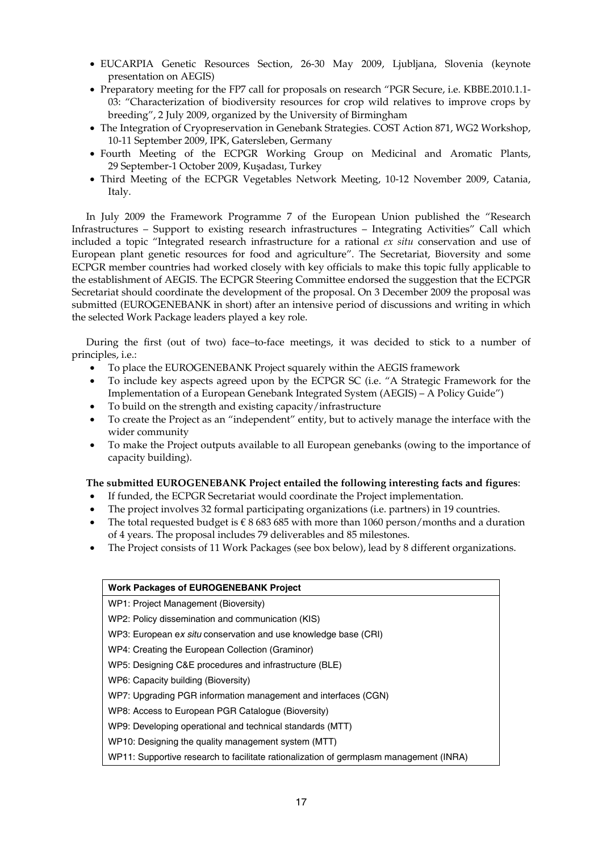- EUCARPIA Genetic Resources Section, 26-30 May 2009, Ljubljana, Slovenia (keynote presentation on AEGIS)
- Preparatory meeting for the FP7 call for proposals on research "PGR Secure, i.e. KBBE.2010.1.1- 03: "Characterization of biodiversity resources for crop wild relatives to improve crops by breeding", 2 July 2009, organized by the University of Birmingham
- The Integration of Cryopreservation in Genebank Strategies. COST Action 871, WG2 Workshop, 10-11 September 2009, IPK, Gatersleben, Germany
- Fourth Meeting of the ECPGR Working Group on Medicinal and Aromatic Plants, 29 September-1 October 2009, Kuşadası, Turkey
- Third Meeting of the ECPGR Vegetables Network Meeting, 10-12 November 2009, Catania, Italy.

 In July 2009 the Framework Programme 7 of the European Union published the "Research Infrastructures – Support to existing research infrastructures – Integrating Activities" Call which included a topic "Integrated research infrastructure for a rational *ex situ* conservation and use of European plant genetic resources for food and agriculture". The Secretariat, Bioversity and some ECPGR member countries had worked closely with key officials to make this topic fully applicable to the establishment of AEGIS. The ECPGR Steering Committee endorsed the suggestion that the ECPGR Secretariat should coordinate the development of the proposal. On 3 December 2009 the proposal was submitted (EUROGENEBANK in short) after an intensive period of discussions and writing in which the selected Work Package leaders played a key role.

 During the first (out of two) face–to-face meetings, it was decided to stick to a number of principles, i.e.:

- To place the EUROGENEBANK Project squarely within the AEGIS framework
- To include key aspects agreed upon by the ECPGR SC (i.e. "A Strategic Framework for the Implementation of a European Genebank Integrated System (AEGIS) – A Policy Guide")
- To build on the strength and existing capacity/infrastructure
- To create the Project as an "independent" entity, but to actively manage the interface with the wider community
- To make the Project outputs available to all European genebanks (owing to the importance of capacity building).

## **The submitted EUROGENEBANK Project entailed the following interesting facts and figures**:

- If funded, the ECPGR Secretariat would coordinate the Project implementation.
- The project involves 32 formal participating organizations (i.e. partners) in 19 countries.
- The total requested budget is  $\epsilon$  8 683 685 with more than 1060 person/months and a duration of 4 years. The proposal includes 79 deliverables and 85 milestones.
- The Project consists of 11 Work Packages (see box below), lead by 8 different organizations.

| <b>Work Packages of EUROGENEBANK Project</b>                                           |
|----------------------------------------------------------------------------------------|
| WP1: Project Management (Bioversity)                                                   |
| WP2: Policy dissemination and communication (KIS)                                      |
| WP3: European ex situ conservation and use knowledge base (CRI)                        |
| WP4: Creating the European Collection (Graminor)                                       |
| WP5: Designing C&E procedures and infrastructure (BLE)                                 |
| WP6: Capacity building (Bioversity)                                                    |
| WP7: Upgrading PGR information management and interfaces (CGN)                         |
| WP8: Access to European PGR Catalogue (Bioversity)                                     |
| WP9: Developing operational and technical standards (MTT)                              |
| WP10: Designing the quality management system (MTT)                                    |
| WP11: Supportive research to facilitate rationalization of germplasm management (INRA) |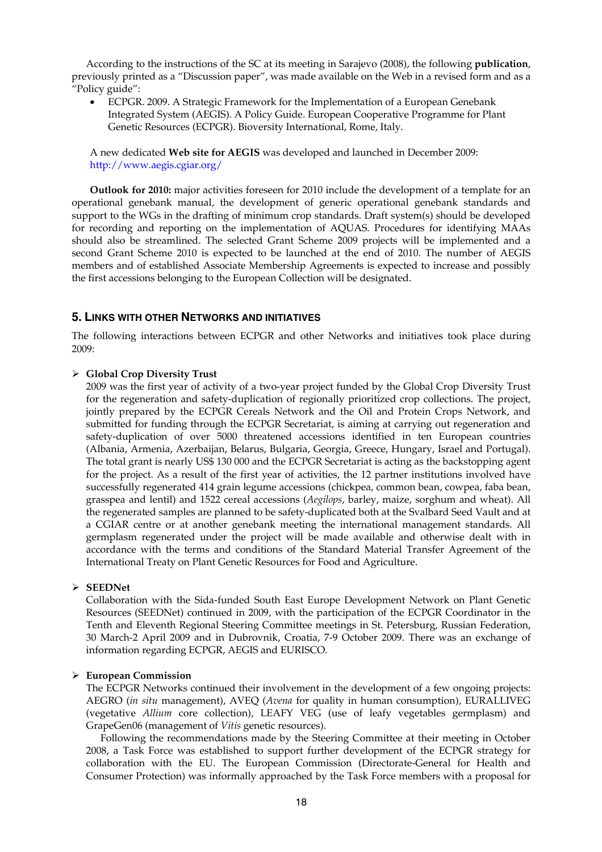According to the instructions of the SC at its meeting in Sarajevo (2008), the following **publication**, previously printed as a "Discussion paper", was made available on the Web in a revised form and as a "Policy guide":

• ECPGR. 2009. A Strategic Framework for the Implementation of a European Genebank Integrated System (AEGIS). A Policy Guide. European Cooperative Programme for Plant Genetic Resources (ECPGR). Bioversity International, Rome, Italy.

A new dedicated **Web site for AEGIS** was developed and launched in December 2009: http://www.aegis.cgiar.org/

**Outlook for 2010:** major activities foreseen for 2010 include the development of a template for an operational genebank manual, the development of generic operational genebank standards and support to the WGs in the drafting of minimum crop standards. Draft system(s) should be developed for recording and reporting on the implementation of AQUAS. Procedures for identifying MAAs should also be streamlined. The selected Grant Scheme 2009 projects will be implemented and a second Grant Scheme 2010 is expected to be launched at the end of 2010. The number of AEGIS members and of established Associate Membership Agreements is expected to increase and possibly the first accessions belonging to the European Collection will be designated.

#### **5. LINKS WITH OTHER NETWORKS AND INITIATIVES**

The following interactions between ECPGR and other Networks and initiatives took place during 2009:

#### ¾ **Global Crop Diversity Trust**

2009 was the first year of activity of a two-year project funded by the Global Crop Diversity Trust for the regeneration and safety-duplication of regionally prioritized crop collections. The project, jointly prepared by the ECPGR Cereals Network and the Oil and Protein Crops Network, and submitted for funding through the ECPGR Secretariat, is aiming at carrying out regeneration and safety-duplication of over 5000 threatened accessions identified in ten European countries (Albania, Armenia, Azerbaijan, Belarus, Bulgaria, Georgia, Greece, Hungary, Israel and Portugal). The total grant is nearly US\$ 130 000 and the ECPGR Secretariat is acting as the backstopping agent for the project. As a result of the first year of activities, the 12 partner institutions involved have successfully regenerated 414 grain legume accessions (chickpea, common bean, cowpea, faba bean, grasspea and lentil) and 1522 cereal accessions (*Aegilops*, barley, maize, sorghum and wheat). All the regenerated samples are planned to be safety-duplicated both at the Svalbard Seed Vault and at a CGIAR centre or at another genebank meeting the international management standards. All germplasm regenerated under the project will be made available and otherwise dealt with in accordance with the terms and conditions of the Standard Material Transfer Agreement of the International Treaty on Plant Genetic Resources for Food and Agriculture.

## ¾ **SEEDNet**

Collaboration with the Sida-funded South East Europe Development Network on Plant Genetic Resources (SEEDNet) continued in 2009, with the participation of the ECPGR Coordinator in the Tenth and Eleventh Regional Steering Committee meetings in St. Petersburg, Russian Federation, 30 March-2 April 2009 and in Dubrovnik, Croatia, 7-9 October 2009. There was an exchange of information regarding ECPGR, AEGIS and EURISCO.

#### ¾ **European Commission**

The ECPGR Networks continued their involvement in the development of a few ongoing projects: AEGRO (*in situ* management), AVEQ (*Avena* for quality in human consumption), EURALLIVEG (vegetative *Allium* core collection), LEAFY VEG (use of leafy vegetables germplasm) and GrapeGen06 (management of *Vitis* genetic resources).

 Following the recommendations made by the Steering Committee at their meeting in October 2008, a Task Force was established to support further development of the ECPGR strategy for collaboration with the EU. The European Commission (Directorate-General for Health and Consumer Protection) was informally approached by the Task Force members with a proposal for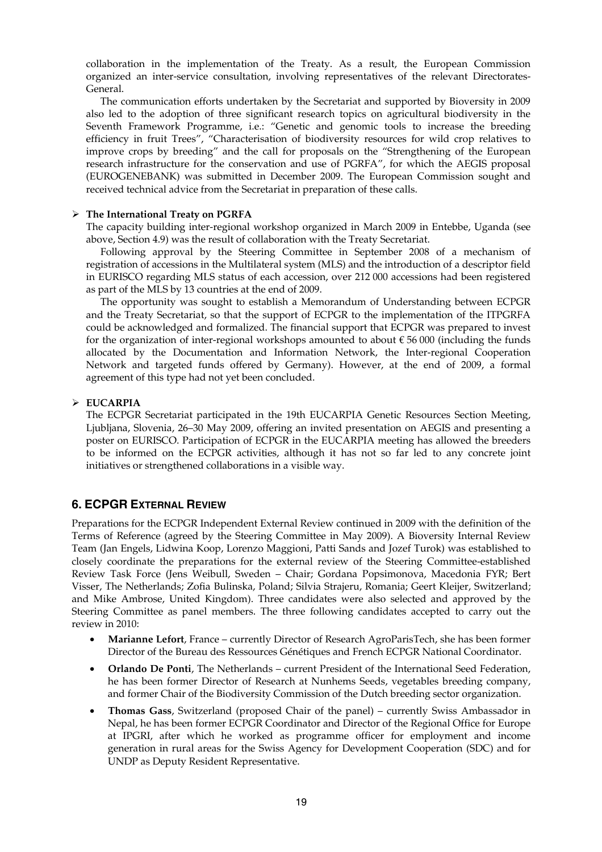collaboration in the implementation of the Treaty. As a result, the European Commission organized an inter-service consultation, involving representatives of the relevant Directorates-General.

 The communication efforts undertaken by the Secretariat and supported by Bioversity in 2009 also led to the adoption of three significant research topics on agricultural biodiversity in the Seventh Framework Programme, i.e.: "Genetic and genomic tools to increase the breeding efficiency in fruit Trees", "Characterisation of biodiversity resources for wild crop relatives to improve crops by breeding" and the call for proposals on the "Strengthening of the European research infrastructure for the conservation and use of PGRFA", for which the AEGIS proposal (EUROGENEBANK) was submitted in December 2009. The European Commission sought and received technical advice from the Secretariat in preparation of these calls.

#### ¾ **The International Treaty on PGRFA**

The capacity building inter-regional workshop organized in March 2009 in Entebbe, Uganda (see above, Section 4.9) was the result of collaboration with the Treaty Secretariat.

 Following approval by the Steering Committee in September 2008 of a mechanism of registration of accessions in the Multilateral system (MLS) and the introduction of a descriptor field in EURISCO regarding MLS status of each accession, over 212 000 accessions had been registered as part of the MLS by 13 countries at the end of 2009.

 The opportunity was sought to establish a Memorandum of Understanding between ECPGR and the Treaty Secretariat, so that the support of ECPGR to the implementation of the ITPGRFA could be acknowledged and formalized. The financial support that ECPGR was prepared to invest for the organization of inter-regional workshops amounted to about  $\epsilon$  56 000 (including the funds allocated by the Documentation and Information Network, the Inter-regional Cooperation Network and targeted funds offered by Germany). However, at the end of 2009, a formal agreement of this type had not yet been concluded.

## ¾ **EUCARPIA**

The ECPGR Secretariat participated in the 19th EUCARPIA Genetic Resources Section Meeting, Ljubljana, Slovenia, 26–30 May 2009, offering an invited presentation on AEGIS and presenting a poster on EURISCO. Participation of ECPGR in the EUCARPIA meeting has allowed the breeders to be informed on the ECPGR activities, although it has not so far led to any concrete joint initiatives or strengthened collaborations in a visible way.

## **6. ECPGR EXTERNAL REVIEW**

Preparations for the ECPGR Independent External Review continued in 2009 with the definition of the Terms of Reference (agreed by the Steering Committee in May 2009). A Bioversity Internal Review Team (Jan Engels, Lidwina Koop, Lorenzo Maggioni, Patti Sands and Jozef Turok) was established to closely coordinate the preparations for the external review of the Steering Committee-established Review Task Force (Jens Weibull, Sweden – Chair; Gordana Popsimonova, Macedonia FYR; Bert Visser, The Netherlands; Zofia Bulinska, Poland; Silvia Strajeru, Romania; Geert Kleijer, Switzerland; and Mike Ambrose, United Kingdom). Three candidates were also selected and approved by the Steering Committee as panel members. The three following candidates accepted to carry out the review in 2010:

- **Marianne Lefort**, France currently Director of Research AgroParisTech, she has been former Director of the Bureau des Ressources Génétiques and French ECPGR National Coordinator.
- **Orlando De Ponti**, The Netherlands current President of the International Seed Federation, he has been former Director of Research at Nunhems Seeds, vegetables breeding company, and former Chair of the Biodiversity Commission of the Dutch breeding sector organization.
- **Thomas Gass**, Switzerland (proposed Chair of the panel) currently Swiss Ambassador in Nepal, he has been former ECPGR Coordinator and Director of the Regional Office for Europe at IPGRI, after which he worked as programme officer for employment and income generation in rural areas for the Swiss Agency for Development Cooperation (SDC) and for UNDP as Deputy Resident Representative.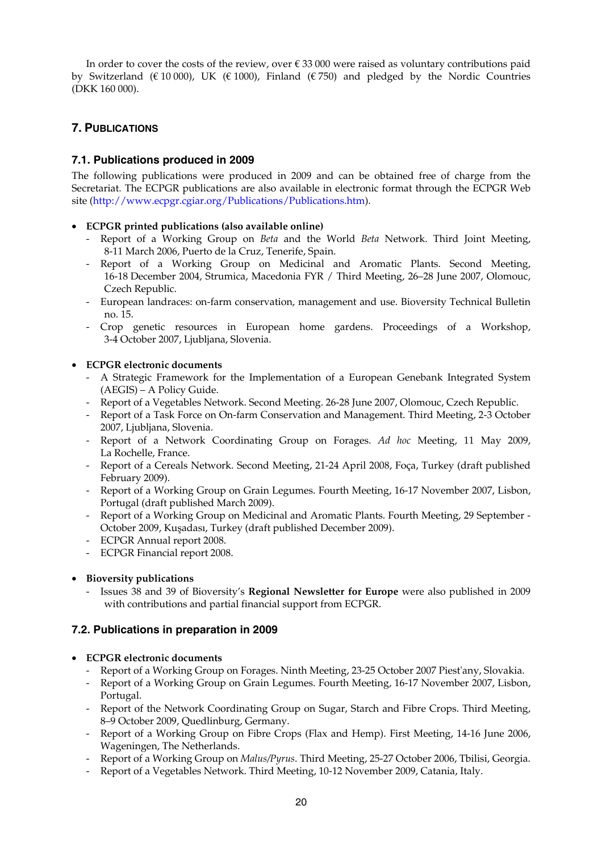In order to cover the costs of the review, over € 33 000 were raised as voluntary contributions paid by Switzerland (€ 10 000), UK (€ 1000), Finland (€ 750) and pledged by the Nordic Countries (DKK 160 000).

# **7. PUBLICATIONS**

# **7.1. Publications produced in 2009**

The following publications were produced in 2009 and can be obtained free of charge from the Secretariat. The ECPGR publications are also available in electronic format through the ECPGR Web site (http://www.ecpgr.cgiar.org/Publications/Publications.htm).

## • **ECPGR printed publications (also available online)**

- Report of a Working Group on *Beta* and the World *Beta* Network. Third Joint Meeting, 8-11 March 2006, Puerto de la Cruz, Tenerife, Spain.
- Report of a Working Group on Medicinal and Aromatic Plants. Second Meeting, 16-18 December 2004, Strumica, Macedonia FYR / Third Meeting, 26–28 June 2007, Olomouc, Czech Republic.
- European landraces: on-farm conservation, management and use. Bioversity Technical Bulletin no. 15.
- Crop genetic resources in European home gardens. Proceedings of a Workshop, 3-4 October 2007, Ljubljana, Slovenia.

## • **ECPGR electronic documents**

- A Strategic Framework for the Implementation of a European Genebank Integrated System (AEGIS) – A Policy Guide.
- Report of a Vegetables Network. Second Meeting. 26-28 June 2007, Olomouc, Czech Republic.
- Report of a Task Force on On-farm Conservation and Management. Third Meeting, 2-3 October 2007, Ljubljana, Slovenia.
- Report of a Network Coordinating Group on Forages. *Ad hoc* Meeting, 11 May 2009, La Rochelle, France.
- Report of a Cereals Network. Second Meeting, 21-24 April 2008, Foça, Turkey (draft published February 2009).
- Report of a Working Group on Grain Legumes. Fourth Meeting, 16-17 November 2007, Lisbon, Portugal (draft published March 2009).
- Report of a Working Group on Medicinal and Aromatic Plants. Fourth Meeting, 29 September October 2009, Kuşadası, Turkey (draft published December 2009).
- ECPGR Annual report 2008.
- ECPGR Financial report 2008.

## • **Bioversity publications**

- Issues 38 and 39 of Bioversity's **Regional Newsletter for Europe** were also published in 2009 with contributions and partial financial support from ECPGR.

# **7.2. Publications in preparation in 2009**

## • **ECPGR electronic documents**

- Report of a Working Group on Forages. Ninth Meeting, 23-25 October 2007 Piest'any, Slovakia.
- Report of a Working Group on Grain Legumes. Fourth Meeting, 16-17 November 2007, Lisbon, Portugal.
- Report of the Network Coordinating Group on Sugar, Starch and Fibre Crops. Third Meeting, 8–9 October 2009, Quedlinburg, Germany.
- Report of a Working Group on Fibre Crops (Flax and Hemp). First Meeting, 14-16 June 2006, Wageningen, The Netherlands.
- Report of a Working Group on *Malus/Pyrus*. Third Meeting, 25-27 October 2006, Tbilisi, Georgia.
- Report of a Vegetables Network. Third Meeting, 10-12 November 2009, Catania, Italy.